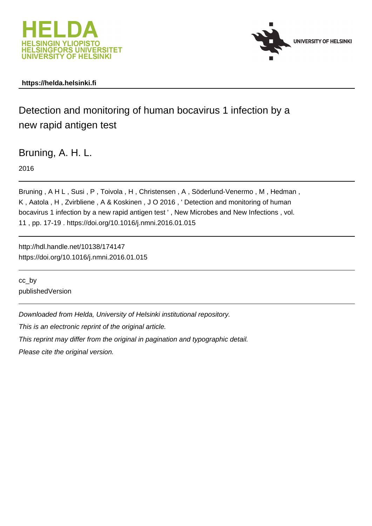



### **https://helda.helsinki.fi**

# Detection and monitoring of human bocavirus 1 infection by a new rapid antigen test

Bruning, A. H. L.

2016

Bruning , A H L , Susi , P , Toivola , H , Christensen , A , Söderlund-Venermo , M , Hedman , K , Aatola , H , Zvirbliene , A & Koskinen , J O 2016 , ' Detection and monitoring of human bocavirus 1 infection by a new rapid antigen test ' , New Microbes and New Infections , vol. 11 , pp. 17-19 . https://doi.org/10.1016/j.nmni.2016.01.015

http://hdl.handle.net/10138/174147 https://doi.org/10.1016/j.nmni.2016.01.015

cc\_by publishedVersion

Downloaded from Helda, University of Helsinki institutional repository.

This is an electronic reprint of the original article.

This reprint may differ from the original in pagination and typographic detail.

Please cite the original version.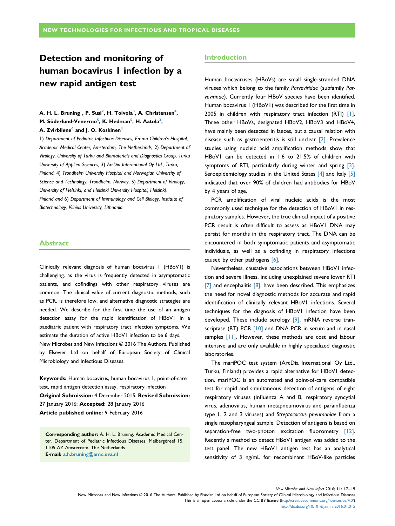## Detection and monitoring of human bocavirus 1 infection by a new rapid antigen test

#### A. H. L. Bruning<sup>!</sup>, P. Susi<sup>2</sup>, H. Toivola<sup>3</sup>, A. Christensen<sup>4</sup>, M. Söderlund-Venermo<sup>5</sup>, K. Hedman<sup>5</sup>, H. Aatola<sup>3</sup>, A. Zvirbliene<sup>6</sup> and J. O. Koskinen<sup>3</sup>

1) Department of Pediatric Infectious Diseases, Emma Children's Hospital, Academic Medical Center, Amsterdam, The Netherlands, 2) Department of Virology, University of Turku and Biomaterials and Diagnostics Group, Turku University of Applied Sciences, 3) ArcDia International Oy Ltd., Turku, Finland, 4) Trondheim University Hospital and Norwegian University of Science and Technology, Trondheim, Norway, 5) Department of Virology, University of Helsinki, and Helsinki University Hospital, Helsinki, Finland and 6) Department of Immunology and Cell Biology, Institute of Biotechnology, Vilnius University, Lithuania

#### Abstract

Clinically relevant diagnosis of human bocavirus 1 (HBoV1) is challenging, as the virus is frequently detected in asymptomatic patients, and cofindings with other respiratory viruses are common. The clinical value of current diagnostic methods, such as PCR, is therefore low, and alternative diagnostic strategies are needed. We describe for the first time the use of an antigen detection assay for the rapid identification of HBoV1 in a paediatric patient with respiratory tract infection symptoms. We estimate the duration of active HBoV1 infection to be 6 days. New Microbes and New Infections © 2016 The Authors. Published by Elsevier Ltd on behalf of European Society of Clinical

Microbiology and Infectious Diseases.

Keywords: Human bocavirus, human bocavirus 1, point-of-care test, rapid antigen detection assay, respiratory infection Original Submission: 4 December 2015; Revised Submission: 27 January 2016; Accepted: 28 January 2016 Article published online: 9 February 2016

Corresponding author: A. H. L. Bruning, Academic Medical Center, Department of Pediatric Infectious Diseases, Meibergdreef 15, 1105 AZ Amsterdam, The Netherlands E-mail: [a.h.bruning@amc.uva.nl](mailto:a.h.bruning@amc.uva.nl)

#### Introduction

Human bocaviruses (HBoVs) are small single-stranded DNA viruses which belong to the family Parvoviridae (subfamily Parvovirinae). Currently four HBoV species have been identified. Human bocavirus 1 (HBoV1) was described for the first time in 2005 in children with respiratory tract infection (RTI) [1]. Three other HBoVs, designated HBoV2, HBoV3 and HBoV4, have mainly been detected in faeces, but a causal relation with disease such as gastroenteritis is still unclear [2]. Prevalence studies using nucleic acid amplification methods show that HBoV1 can be detected in 1.6 to 21.5% of children with symptoms of RTI, particularly during winter and spring [3]. Seroepidemiology studies in the United States [4] and Italy [5] indicated that over 90% of children had antibodies for HBoV by 4 years of age.

PCR amplification of viral nucleic acids is the most commonly used technique for the detection of HBoV1 in respiratory samples. However, the true clinical impact of a positive PCR result is often difficult to assess as HBoV1 DNA may persist for months in the respiratory tract. The DNA can be encountered in both symptomatic patients and asymptomatic individuals, as well as a cofinding in respiratory infections caused by other pathogens [6].

Nevertheless, causative associations between HBoV1 infection and severe illness, including unexplained severe lower RTI  $[7]$  and encephalitis  $[8]$ , have been described. This emphasizes the need for novel diagnostic methods for accurate and rapid identification of clinically relevant HBoV1 infections. Several techniques for the diagnosis of HBoV1 infection have been developed. These include serology [9], mRNA reverse transcriptase (RT) PCR [10] and DNA PCR in serum and in nasal samples [11]. However, these methods are cost and labour intensive and are only available in highly specialized diagnostic laboratories.

The mariPOC test system (ArcDia International Oy Ltd., Turku, Finland) provides a rapid alternative for HBoV1 detection. mariPOC is an automated and point-of-care compatible test for rapid and simultaneous detection of antigens of eight respiratory viruses (influenza A and B, respiratory syncytial virus, adenovirus, human metapneumovirus and parainfluenza type 1, 2 and 3 viruses) and Streptococcus pneumoniae from a single nasopharyngeal sample. Detection of antigens is based on separation-free two-photon excitation fluorometry [12]. Recently a method to detect HBoV1 antigen was added to the test panel. The new HBoV1 antigen test has an analytical sensitivity of 3 ng/mL for recombinant HBoV-like particles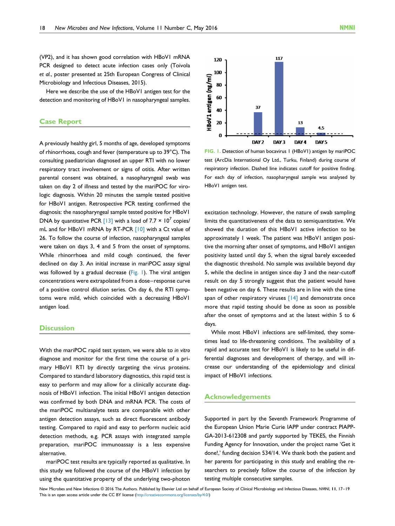(VP2), and it has shown good correlation with HBoV1 mRNA PCR designed to detect acute infection cases only (Toivola et al., poster presented at 25th European Congress of Clinical Microbiology and Infectious Diseases, 2015).

Here we describe the use of the HBoV1 antigen test for the detection and monitoring of HBoV1 in nasopharyngeal samples.

#### Case Report

A previously healthy girl, 5 months of age, developed symptoms of rhinorrhoea, cough and fever (temperature up to 39°C). The consulting paediatrician diagnosed an upper RTI with no lower respiratory tract involvement or signs of otitis. After written parental consent was obtained, a nasopharyngeal swab was taken on day 2 of illness and tested by the mariPOC for virologic diagnosis. Within 20 minutes the sample tested positive for HBoV1 antigen. Retrospective PCR testing confirmed the diagnosis: the nasopharyngeal sample tested positive for HBoV1 DNA by quantitative PCR [13] with a load of 7.7  $\times$  10<sup>7</sup> copies/ mL and for HBoVI mRNA by RT-PCR [10] with a Ct value of 26. To follow the course of infection, nasopharyngeal samples were taken on days 3, 4 and 5 from the onset of symptoms. While rhinorrhoea and mild cough continued, the fever declined on day 3. An initial increase in mariPOC assay signal was followed by a gradual decrease (Fig. 1). The viral antigen concentrations were extrapolated from a dose–response curve of a positive control dilution series. On day 6, the RTI symptoms were mild, which coincided with a decreasing HBoV1 antigen load.

#### **Discussion**

With the mariPOC rapid test system, we were able to in vitro diagnose and monitor for the first time the course of a primary HBoV1 RTI by directly targeting the virus proteins. Compared to standard laboratory diagnostics, this rapid test is easy to perform and may allow for a clinically accurate diagnosis of HBoV1 infection. The initial HBoV1 antigen detection was confirmed by both DNA and mRNA PCR. The costs of the mariPOC multianalyte tests are comparable with other antigen detection assays, such as direct fluorescent antibody testing. Compared to rapid and easy to perform nucleic acid detection methods, e.g. PCR assays with integrated sample preparation, mariPOC immunoassay is a less expensive alternative.

mariPOC test results are typically reported as qualitative. In this study we followed the course of the HBoV1 infection by using the quantitative property of the underlying two-photon



FIG. 1. Detection of human bocavirus 1 (HBoV1) antigen by mariPOC test (ArcDia International Oy Ltd., Turku, Finland) during course of respiratory infection. Dashed line indicates cutoff for positive finding. For each day of infection, nasopharyngeal sample was analysed by HBoV1 antigen test.

excitation technology. However, the nature of swab sampling limits the quantitativeness of the data to semiquantitative. We showed the duration of this HBoV1 active infection to be approximately 1 week. The patient was HBoV1 antigen positive the morning after onset of symptoms, and HBoV1 antigen positivity lasted until day 5, when the signal barely exceeded the diagnostic threshold. No sample was available beyond day 5, while the decline in antigen since day 3 and the near-cutoff result on day 5 strongly suggest that the patient would have been negative on day 6. These results are in line with the time span of other respiratory viruses  $[14]$  and demonstrate once more that rapid testing should be done as soon as possible after the onset of symptoms and at the latest within 5 to 6 days.

While most HBoV1 infections are self-limited, they sometimes lead to life-threatening conditions. The availability of a rapid and accurate test for HBoV1 is likely to be useful in differential diagnoses and development of therapy, and will increase our understanding of the epidemiology and clinical impact of HBoV1 infections.

#### Acknowledgements

Supported in part by the Seventh Framework Programme of the European Union Marie Curie IAPP under contract PIAPP-GA-2013-612308 and partly supported by TEKES, the Finnish Funding Agency for Innovation, under the project name 'Get it done!,' funding decision 534/14. We thank both the patient and her parents for participating in this study and enabling the researchers to precisely follow the course of the infection by testing multiple consecutive samples.

New Microbes and New Infections @ 2016 The Authors. Published by Elsevier Ltd on behalf of European Society of Clinical Microbiology and Infectious Diseases, NMNI, 11, 17-19 This is an open access article under the CC BY license (<http://creativecommons.org/licenses/by/4.0/>)